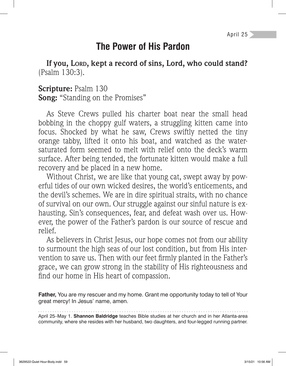## **The Power of His Pardon**

**If you, LORD, kept a record of sins, Lord, who could stand?**  (Psalm 130:3).

**Scripture:** Psalm 130 **Song:** "Standing on the Promises"

As Steve Crews pulled his charter boat near the small head bobbing in the choppy gulf waters, a struggling kitten came into focus. Shocked by what he saw, Crews swiftly netted the tiny orange tabby, lifted it onto his boat, and watched as the watersaturated form seemed to melt with relief onto the deck's warm surface. After being tended, the fortunate kitten would make a full recovery and be placed in a new home.

Without Christ, we are like that young cat, swept away by powerful tides of our own wicked desires, the world's enticements, and the devil's schemes. We are in dire spiritual straits, with no chance of survival on our own. Our struggle against our sinful nature is exhausting. Sin's consequences, fear, and defeat wash over us. However, the power of the Father's pardon is our source of rescue and relief.

As believers in Christ Jesus, our hope comes not from our ability to surmount the high seas of our lost condition, but from His intervention to save us. Then with our feet firmly planted in the Father's grace, we can grow strong in the stability of His righteousness and find our home in His heart of compassion.

**Father,** You are my rescuer and my home. Grant me opportunity today to tell of Your great mercy! In Jesus' name, amen.

April 25–May 1. **Shannon Baldridge** teaches Bible studies at her church and in her Atlanta-area community, where she resides with her husband, two daughters, and four-legged running partner.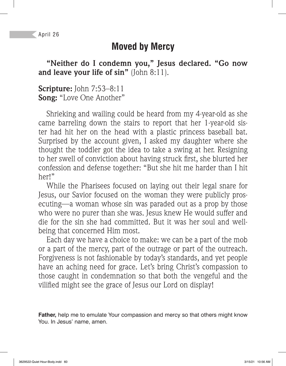## **Moved by Mercy**

**"Neither do I condemn you," Jesus declared. "Go now and leave your life of sin"** (John 8:11).

**Scripture:** John 7:53–8:11 **Song:** "Love One Another"

Shrieking and wailing could be heard from my 4-year-old as she came barreling down the stairs to report that her 1-year-old sister had hit her on the head with a plastic princess baseball bat. Surprised by the account given, I asked my daughter where she thought the toddler got the idea to take a swing at her. Resigning to her swell of conviction about having struck first, she blurted her confession and defense together: "But she hit me harder than I hit her!"

While the Pharisees focused on laying out their legal snare for Jesus, our Savior focused on the woman they were publicly prosecuting—a woman whose sin was paraded out as a prop by those who were no purer than she was. Jesus knew He would suffer and die for the sin she had committed. But it was her soul and wellbeing that concerned Him most.

Each day we have a choice to make: we can be a part of the mob or a part of the mercy, part of the outrage or part of the outreach. Forgiveness is not fashionable by today's standards, and yet people have an aching need for grace. Let's bring Christ's compassion to those caught in condemnation so that both the vengeful and the vilified might see the grace of Jesus our Lord on display!

**Father,** help me to emulate Your compassion and mercy so that others might know You. In Jesus' name, amen.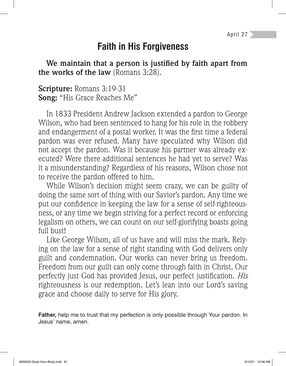## **Faith in His Forgiveness**

We maintain that a person is justified by faith apart from **the works of the law** (Romans 3:28).

**Scripture:** Romans 3:19-31 **Song:** "His Grace Reaches Me"

In 1833 President Andrew Jackson extended a pardon to George Wilson, who had been sentenced to hang for his role in the robbery and endangerment of a postal worker. It was the first time a federal pardon was ever refused. Many have speculated why Wilson did not accept the pardon. Was it because his partner was already executed? Were there additional sentences he had yet to serve? Was it a misunderstanding? Regardless of his reasons, Wilson chose not to receive the pardon offered to him.

While Wilson's decision might seem crazy, we can be guilty of doing the same sort of thing with our Savior's pardon. Any time we put our confidence in keeping the law for a sense of self-righteousness, or any time we begin striving for a perfect record or enforcing legalism on others, we can count on our self-glorifying boasts going full bust!

Like George Wilson, all of us have and will miss the mark. Relying on the law for a sense of right standing with God delivers only guilt and condemnation. Our works can never bring us freedom. Freedom from our guilt can only come through faith in Christ. Our perfectly just God has provided Jesus, our perfect justification. *His* righteousness is our redemption. Let's lean into our Lord's saving grace and choose daily to serve for His glory.

**Father,** help me to trust that my perfection is only possible through Your pardon. In Jesus' name, amen.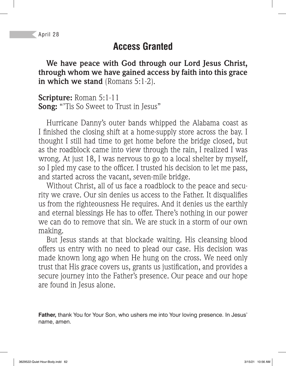## **Access Granted**

**We have peace with God through our Lord Jesus Christ, through whom we have gained access by faith into this grace in which we stand** (Romans 5:1-2).

**Scripture:** Roman 5:1-11 **Song:** "'Tis So Sweet to Trust in Jesus"

Hurricane Danny's outer bands whipped the Alabama coast as I finished the closing shift at a home-supply store across the bay. I thought I still had time to get home before the bridge closed, but as the roadblock came into view through the rain, I realized I was wrong. At just 18, I was nervous to go to a local shelter by myself, so I pled my case to the officer. I trusted his decision to let me pass, and started across the vacant, seven-mile bridge.

Without Christ, all of us face a roadblock to the peace and security we crave. Our sin denies us access to the Father. It disqualifies us from the righteousness He requires. And it denies us the earthly and eternal blessings He has to offer. There's nothing in our power we can do to remove that sin. We are stuck in a storm of our own making.

But Jesus stands at that blockade waiting. His cleansing blood offers us entry with no need to plead our case. His decision was made known long ago when He hung on the cross. We need only trust that His grace covers us, grants us justification, and provides a secure journey into the Father's presence. Our peace and our hope are found in Jesus alone.

**Father,** thank You for Your Son, who ushers me into Your loving presence. In Jesus' name, amen.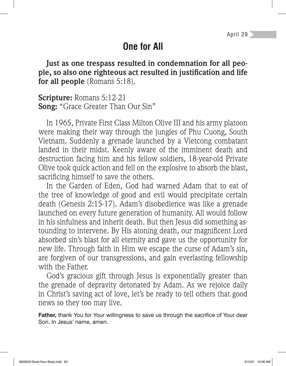# **One for All**

**Just as one trespass resulted in condemnation for all peo**ple, so also one righteous act resulted in justification and life **for all people** (Romans 5:18).

**Scripture:** Romans 5:12-21 **Song:** "Grace Greater Than Our Sin"

In 1965, Private First Class Milton Olive III and his army platoon were making their way through the jungles of Phu Cuong, South Vietnam. Suddenly a grenade launched by a Vietcong combatant landed in their midst. Keenly aware of the imminent death and destruction facing him and his fellow soldiers, 18-year-old Private Olive took quick action and fell on the explosive to absorb the blast, sacrificing himself to save the others.

In the Garden of Eden, God had warned Adam that to eat of the tree of knowledge of good and evil would precipitate certain death (Genesis 2:15-17). Adam's disobedience was like a grenade launched on every future generation of humanity. All would follow in his sinfulness and inherit death. But then Jesus did something astounding to intervene. By His atoning death, our magnificent Lord absorbed sin's blast for all eternity and gave us the opportunity for new life. Through faith in Him we escape the curse of Adam's sin, are forgiven of our transgressions, and gain everlasting fellowship with the Father.

God's gracious gift through Jesus is exponentially greater than the grenade of depravity detonated by Adam. As we rejoice daily in Christ's saving act of love, let's be ready to tell others that good news so they too may live.

Father, thank You for Your willingness to save us through the sacrifice of Your dear Son. In Jesus' name, amen.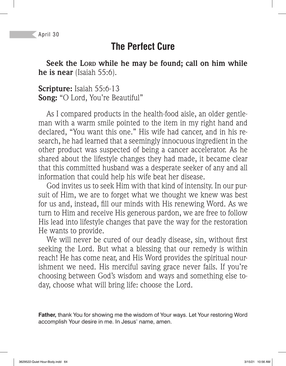## **The Perfect Cure**

**Seek the LORD while he may be found; call on him while he is near** (Isaiah 55:6).

**Scripture:** Isaiah 55:6-13 **Song:** "O Lord, You're Beautiful"

As I compared products in the health-food aisle, an older gentleman with a warm smile pointed to the item in my right hand and declared, "You want this one." His wife had cancer, and in his research, he had learned that a seemingly innocuous ingredient in the other product was suspected of being a cancer accelerator. As he shared about the lifestyle changes they had made, it became clear that this committed husband was a desperate seeker of any and all information that could help his wife beat her disease.

God invites us to seek Him with that kind of intensity. In our pursuit of Him, we are to forget what we thought we knew was best for us and, instead, fill our minds with His renewing Word. As we turn to Him and receive His generous pardon, we are free to follow His lead into lifestyle changes that pave the way for the restoration He wants to provide.

We will never be cured of our deadly disease, sin, without first seeking the Lord. But what a blessing that our remedy is within reach! He has come near, and His Word provides the spiritual nourishment we need. His merciful saving grace never fails. If you're choosing between God's wisdom and ways and something else today, choose what will bring life: choose the Lord.

**Father,** thank You for showing me the wisdom of Your ways. Let Your restoring Word accomplish Your desire in me. In Jesus' name, amen.